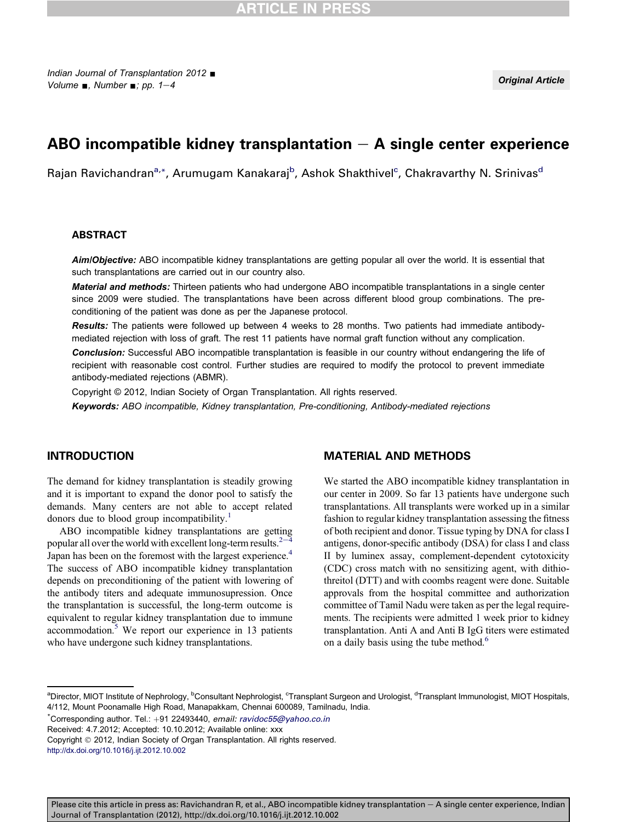# ABO incompatible kidney transplantation  $-$  A single center experience

Rajan Ravichandran<sup>a,</sup>\*, Arumugam Kanakaraj<sup>b</sup>, Ashok Shakthivel<sup>c</sup>, Chakravarthy N. Srinivas<sup>d</sup>

#### ABSTRACT

Aim/Objective: ABO incompatible kidney transplantations are getting popular all over the world. It is essential that such transplantations are carried out in our country also.

Material and methods: Thirteen patients who had undergone ABO incompatible transplantations in a single center since 2009 were studied. The transplantations have been across different blood group combinations. The preconditioning of the patient was done as per the Japanese protocol.

Results: The patients were followed up between 4 weeks to 28 months. Two patients had immediate antibodymediated rejection with loss of graft. The rest 11 patients have normal graft function without any complication.

**Conclusion:** Successful ABO incompatible transplantation is feasible in our country without endangering the life of recipient with reasonable cost control. Further studies are required to modify the protocol to prevent immediate antibody-mediated rejections (ABMR).

Copyright © 2012, Indian Society of Organ Transplantation. All rights reserved.

Keywords: ABO incompatible, Kidney transplantation, Pre-conditioning, Antibody-mediated rejections

## INTRODUCTION

The demand for kidney transplantation is steadily growing and it is important to expand the donor pool to satisfy the demands. Many centers are not able to accept related donors due to blood group incompatibility.<sup>[1](#page-3-0)</sup>

ABO incompatible kidney transplantations are getting popular all over the world with excellent long-term results. $2^{-4}$  $2^{-4}$  $2^{-4}$ Japan has been on the foremost with the largest experience.<sup>[4](#page-3-0)</sup> The success of ABO incompatible kidney transplantation depends on preconditioning of the patient with lowering of the antibody titers and adequate immunosupression. Once the transplantation is successful, the long-term outcome is equivalent to regular kidney transplantation due to immune accommodation. $5$  We report our experience in 13 patients who have undergone such kidney transplantations.

#### MATERIAL AND METHODS

We started the ABO incompatible kidney transplantation in our center in 2009. So far 13 patients have undergone such transplantations. All transplants were worked up in a similar fashion to regular kidney transplantation assessing the fitness of both recipient and donor. Tissue typing by DNA for class I antigens, donor-specific antibody (DSA) for class I and class II by luminex assay, complement-dependent cytotoxicity (CDC) cross match with no sensitizing agent, with dithiothreitol (DTT) and with coombs reagent were done. Suitable approvals from the hospital committee and authorization committee of Tamil Nadu were taken as per the legal requirements. The recipients were admitted 1 week prior to kidney transplantation. Anti A and Anti B IgG titers were estimated on a daily basis using the tube method.<sup>[6](#page-3-0)</sup>

Received: 4.7.2012; Accepted: 10.10.2012; Available online: xxx

Please cite this article in press as: Ravichandran R, et al., ABO incompatible kidney transplantation  $-$  A single center experience, Indian Journal of Transplantation (2012), http://dx.doi.org/10.1016/j.ijt.2012.10.002

<sup>&</sup>lt;sup>a</sup>Director, MIOT Institute of Nephrology, <sup>b</sup>Consultant Nephrologist, <sup>c</sup>Transplant Surgeon and Urologist, <sup>d</sup>Transplant Immunologist, MIOT Hospitals, 4/112, Mount Poonamalle High Road, Manapakkam, Chennai 600089, Tamilnadu, India.

 $\text{*Corresponding author.}$  Tel.:  $+91$  22493440, email: [ravidoc55@yahoo.co.in](mailto:ravidoc55@yahoo.co.in)

Copyright 2012, Indian Society of Organ Transplantation. All rights reserved.

<http://dx.doi.org/10.1016/j.ijt.2012.10.002>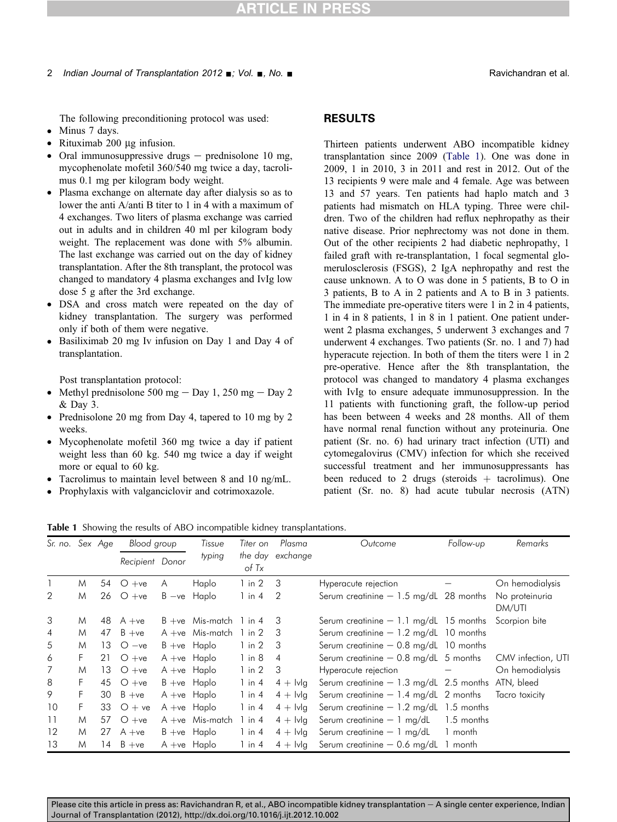The following preconditioning protocol was used:

- $\bullet$  Minus 7 days.
- $\bullet$  Rituximab 200 µg infusion.
- Oral immunosuppressive drugs  $-$  prednisolone 10 mg, mycophenolate mofetil 360/540 mg twice a day, tacrolimus 0.1 mg per kilogram body weight.
- Plasma exchange on alternate day after dialysis so as to lower the anti A/anti B titer to 1 in 4 with a maximum of 4 exchanges. Two liters of plasma exchange was carried out in adults and in children 40 ml per kilogram body weight. The replacement was done with 5% albumin. The last exchange was carried out on the day of kidney transplantation. After the 8th transplant, the protocol was changed to mandatory 4 plasma exchanges and IvIg low dose 5 g after the 3rd exchange.
- DSA and cross match were repeated on the day of kidney transplantation. The surgery was performed only if both of them were negative.
- Basiliximab 20 mg Iv infusion on Day 1 and Day 4 of transplantation.

Post transplantation protocol:

- Methyl prednisolone 500 mg  $-$  Day 1, 250 mg  $-$  Day 2 & Day 3.
- Prednisolone 20 mg from Day 4, tapered to 10 mg by 2 weeks.
- Mycophenolate mofetil 360 mg twice a day if patient weight less than 60 kg. 540 mg twice a day if weight more or equal to 60 kg.
- Tacrolimus to maintain level between 8 and 10 ng/mL.
- Prophylaxis with valganciclovir and cotrimoxazole.

## RESULTS

Thirteen patients underwent ABO incompatible kidney transplantation since 2009 (Table 1). One was done in 2009, 1 in 2010, 3 in 2011 and rest in 2012. Out of the 13 recipients 9 were male and 4 female. Age was between 13 and 57 years. Ten patients had haplo match and 3 patients had mismatch on HLA typing. Three were children. Two of the children had reflux nephropathy as their native disease. Prior nephrectomy was not done in them. Out of the other recipients 2 had diabetic nephropathy, 1 failed graft with re-transplantation, 1 focal segmental glomerulosclerosis (FSGS), 2 IgA nephropathy and rest the cause unknown. A to O was done in 5 patients, B to O in 3 patients, B to A in 2 patients and A to B in 3 patients. The immediate pre-operative titers were 1 in 2 in 4 patients, 1 in 4 in 8 patients, 1 in 8 in 1 patient. One patient underwent 2 plasma exchanges, 5 underwent 3 exchanges and 7 underwent 4 exchanges. Two patients (Sr. no. 1 and 7) had hyperacute rejection. In both of them the titers were 1 in 2 pre-operative. Hence after the 8th transplantation, the protocol was changed to mandatory 4 plasma exchanges with IvIg to ensure adequate immunosuppression. In the 11 patients with functioning graft, the follow-up period has been between 4 weeks and 28 months. All of them have normal renal function without any proteinuria. One patient (Sr. no. 6) had urinary tract infection (UTI) and cytomegalovirus (CMV) infection for which she received successful treatment and her immunosuppressants has been reduced to 2 drugs (steroids  $+$  tacrolimus). One patient (Sr. no. 8) had acute tubular necrosis (ATN)

Table 1 Showing the results of ABO incompatible kidney transplantations.

| Sr. no. Sex Age |    |    | Blood group     |   | Tissue                      | Titer on           | Plasma                         | Outcome                                  | Follow-up  | Remarks                  |
|-----------------|----|----|-----------------|---|-----------------------------|--------------------|--------------------------------|------------------------------------------|------------|--------------------------|
|                 |    |    | Recipient Donor |   | typing                      | of Tx              | the day exchange               |                                          |            |                          |
|                 | M  |    | 54 $O + ve$     | A | Haplo                       | 1 in 2 3           |                                | Hyperacute rejection                     |            | On hemodialysis          |
| 2               | M  |    | 26 $O + ve$     |   | $B - ve$ Haplo              | $1$ in $4$         | -2                             | Serum creatinine $-1.5$ mg/dL 28 months  |            | No proteinuria<br>DM/UTI |
| 3               | M  | 48 | A +ve           |   | $B + ve$ Mis-match 1 in 4 3 |                    |                                | Serum creatinine $-1.1$ mg/dL 15 months  |            | Scorpion bite            |
| 4               | M  |    | 47 $B + ve$     |   | $A + ve$ Mis-match 1 in 2 3 |                    |                                | Serum creatinine $-1.2$ mg/dL 10 months  |            |                          |
| 5               | M  | 13 | $O -ve$         |   | $B + ve$ Haplo              | $1$ in $2 \quad 3$ |                                | Serum creatinine $-$ 0.8 mg/dL 10 months |            |                          |
| 6               | F. | 21 | $O + ve$        |   | $A + ve$ Haplo              | 1 in 8             | $\overline{4}$                 | Serum creatinine $-$ 0.8 mg/dL 5 months  |            | CMV infection, UTI       |
| 7               | M  | 13 | $O + ve$        |   | $A + ve$ Haplo              | $1$ in $2$         | -3                             | Hyperacute rejection                     |            | On hemodialysis          |
| 8               | F  |    | 45 $O + ve$     |   | $B + ve$ Haplo              | $1$ in $4$         | $4 + \lfloor \sqrt{q} \rfloor$ | Serum creatinine $-1.3$ mg/dL 2.5 months |            | ATN, bleed               |
| 9               | F  | 30 | $B + ve$        |   | $A + ve$ Haplo              | $1$ in $4$         | $4 + \lfloor \sqrt{q} \rfloor$ | Serum creatinine $-1.4$ mg/dL 2 months   |            | Tacro toxicity           |
| 10              | F. |    | 33 $O + ve$     |   | $A + ve$ Haplo              | $1$ in $4$         | $4 + \lfloor \sqrt{q} \rfloor$ | Serum creatinine $-1.2$ mg/dL 1.5 months |            |                          |
| 11              | M  |    | 57 $O + ve$     |   | $A + ve$ Mis-match          | $1$ in $4$         | $4 + \mathsf{I} \mathsf{v}$ lq | Serum creatinine $-1$ mg/dL              | 1.5 months |                          |
| 12              | M  |    | 27 $A + ve$     |   | $B + ve$ Haplo              | $1$ in $4$         | $4 + \lfloor \sqrt{g} \rfloor$ | Serum creatinine $-1$ mg/dL              | 1 month    |                          |
| 13              | M  | 14 | $B + ve$        |   | $A + ve$ Haplo              | $1$ in $4$         | $4 +$ Ivlg                     | Serum creatinine $-$ 0.6 mg/dL           | 1 month    |                          |

Please cite this article in press as: Ravichandran R, et al., ABO incompatible kidney transplantation  $-$  A single center experience, Indian Journal of Transplantation (2012), http://dx.doi.org/10.1016/j.ijt.2012.10.002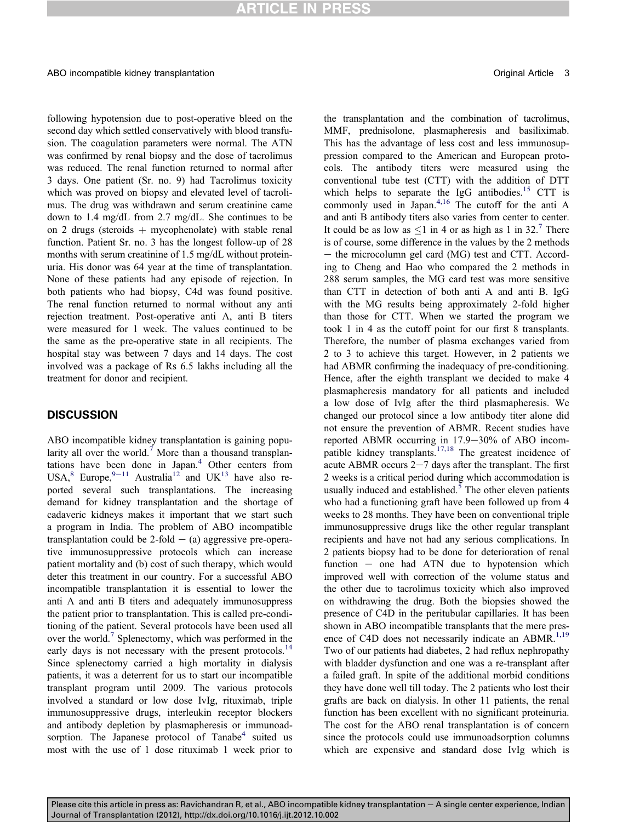following hypotension due to post-operative bleed on the second day which settled conservatively with blood transfusion. The coagulation parameters were normal. The ATN was confirmed by renal biopsy and the dose of tacrolimus was reduced. The renal function returned to normal after 3 days. One patient (Sr. no. 9) had Tacrolimus toxicity which was proved on biopsy and elevated level of tacrolimus. The drug was withdrawn and serum creatinine came down to 1.4 mg/dL from 2.7 mg/dL. She continues to be on 2 drugs (steroids  $+$  mycophenolate) with stable renal function. Patient Sr. no. 3 has the longest follow-up of 28 months with serum creatinine of 1.5 mg/dL without proteinuria. His donor was 64 year at the time of transplantation. None of these patients had any episode of rejection. In both patients who had biopsy, C4d was found positive. The renal function returned to normal without any anti rejection treatment. Post-operative anti A, anti B titers were measured for 1 week. The values continued to be the same as the pre-operative state in all recipients. The hospital stay was between 7 days and 14 days. The cost involved was a package of Rs 6.5 lakhs including all the treatment for donor and recipient.

## **DISCUSSION**

ABO incompatible kidney transplantation is gaining popu-larity all over the world.<sup>[7](#page-3-0)</sup> More than a thousand transplan-tations have been done in Japan.<sup>[4](#page-3-0)</sup> Other centers from USA,<sup>[8](#page-3-0)</sup> Europe,<sup>[9](#page-3-0)-[11](#page-3-0)</sup> Australia<sup>[12](#page-3-0)</sup> and UK<sup>[13](#page-3-0)</sup> have also reported several such transplantations. The increasing demand for kidney transplantation and the shortage of cadaveric kidneys makes it important that we start such a program in India. The problem of ABO incompatible transplantation could be 2-fold  $-$  (a) aggressive pre-operative immunosuppressive protocols which can increase patient mortality and (b) cost of such therapy, which would deter this treatment in our country. For a successful ABO incompatible transplantation it is essential to lower the anti A and anti B titers and adequately immunosuppress the patient prior to transplantation. This is called pre-conditioning of the patient. Several protocols have been used all over the world. $\delta$  Splenectomy, which was performed in the early days is not necessary with the present protocols.<sup>[14](#page-3-0)</sup> Since splenectomy carried a high mortality in dialysis patients, it was a deterrent for us to start our incompatible transplant program until 2009. The various protocols involved a standard or low dose IvIg, rituximab, triple immunosuppressive drugs, interleukin receptor blockers and antibody depletion by plasmapheresis or immunoad-sorption. The Japanese protocol of Tanabe<sup>[4](#page-3-0)</sup> suited us most with the use of 1 dose rituximab 1 week prior to

the transplantation and the combination of tacrolimus, MMF, prednisolone, plasmapheresis and basiliximab. This has the advantage of less cost and less immunosuppression compared to the American and European protocols. The antibody titers were measured using the conventional tube test (CTT) with the addition of DTT which helps to separate the IgG antibodies.<sup>[15](#page-3-0)</sup> CTT is commonly used in Japan.[4,16](#page-3-0) The cutoff for the anti A and anti B antibody titers also varies from center to center. It could be as low as  $\leq 1$  in 4 or as high as 1 in 32.<sup>[7](#page-3-0)</sup> There is of course, some difference in the values by the 2 methods  $-$  the microcolumn gel card (MG) test and CTT. According to Cheng and Hao who compared the 2 methods in 288 serum samples, the MG card test was more sensitive than CTT in detection of both anti A and anti B. IgG with the MG results being approximately 2-fold higher than those for CTT. When we started the program we took 1 in 4 as the cutoff point for our first 8 transplants. Therefore, the number of plasma exchanges varied from 2 to 3 to achieve this target. However, in 2 patients we had ABMR confirming the inadequacy of pre-conditioning. Hence, after the eighth transplant we decided to make 4 plasmapheresis mandatory for all patients and included a low dose of IvIg after the third plasmapheresis. We changed our protocol since a low antibody titer alone did not ensure the prevention of ABMR. Recent studies have reported ABMR occurring in  $17.9-30\%$  of ABO incompatible kidney transplants.[17,18](#page-3-0) The greatest incidence of acute ABMR occurs  $2-7$  days after the transplant. The first 2 weeks is a critical period during which accommodation is usually induced and established.<sup>[5](#page-3-0)</sup> The other eleven patients who had a functioning graft have been followed up from 4 weeks to 28 months. They have been on conventional triple immunosuppressive drugs like the other regular transplant recipients and have not had any serious complications. In 2 patients biopsy had to be done for deterioration of renal function  $-$  one had ATN due to hypotension which improved well with correction of the volume status and the other due to tacrolimus toxicity which also improved on withdrawing the drug. Both the biopsies showed the presence of C4D in the peritubular capillaries. It has been shown in ABO incompatible transplants that the mere pres-ence of C4D does not necessarily indicate an ABMR.<sup>[1,19](#page-3-0)</sup> Two of our patients had diabetes, 2 had reflux nephropathy with bladder dysfunction and one was a re-transplant after a failed graft. In spite of the additional morbid conditions they have done well till today. The 2 patients who lost their grafts are back on dialysis. In other 11 patients, the renal function has been excellent with no significant proteinuria. The cost for the ABO renal transplantation is of concern since the protocols could use immunoadsorption columns which are expensive and standard dose IvIg which is

Please cite this article in press as: Ravichandran R, et al., ABO incompatible kidney transplantation  $-$  A single center experience, Indian Journal of Transplantation (2012), http://dx.doi.org/10.1016/j.ijt.2012.10.002